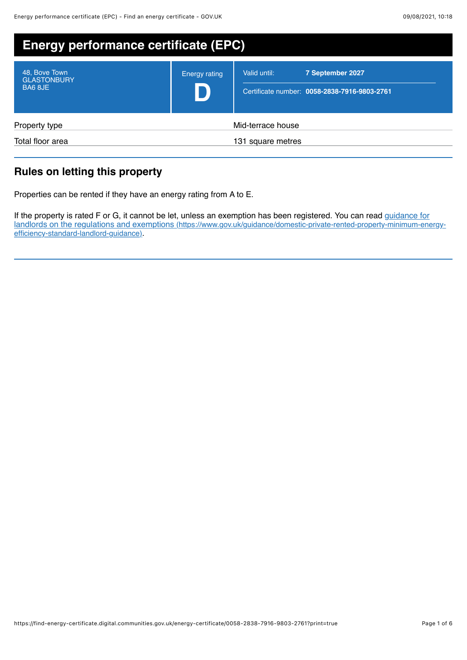| <b>Energy performance certificate (EPC)</b>    |                      |                                                                                  |
|------------------------------------------------|----------------------|----------------------------------------------------------------------------------|
| 48, Bove Town<br><b>GLASTONBURY</b><br>BA6 8JE | <b>Energy rating</b> | 7 September 2027<br>Valid until:<br>Certificate number: 0058-2838-7916-9803-2761 |
| Property type                                  |                      | Mid-terrace house                                                                |
| Total floor area                               |                      | 131 square metres                                                                |

# **Rules on letting this property**

Properties can be rented if they have an energy rating from A to E.

If the property is rated F or G, it cannot be let, unless an exemption has been registered. You can read guidance for [landlords on the regulations and exemptions \(https://www.gov.uk/guidance/domestic-private-rented-property-minimum-energy](https://www.gov.uk/guidance/domestic-private-rented-property-minimum-energy-efficiency-standard-landlord-guidance)efficiency-standard-landlord-guidance).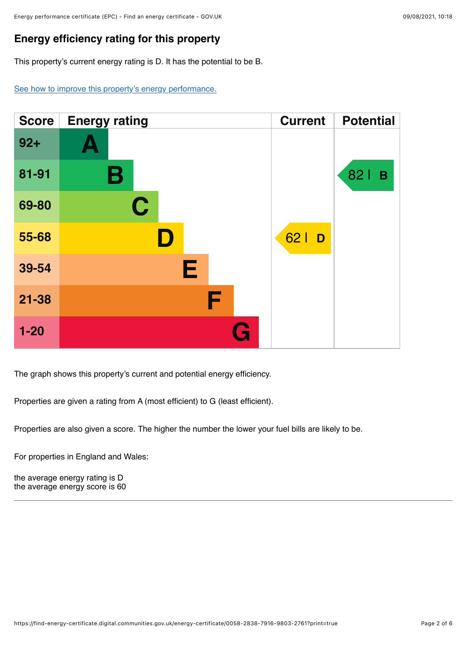## **Energy efficiency rating for this property**

This property's current energy rating is D. It has the potential to be B.

[See how to improve this property's energy performance.](#page-3-0)



The graph shows this property's current and potential energy efficiency.

Properties are given a rating from A (most efficient) to G (least efficient).

Properties are also given a score. The higher the number the lower your fuel bills are likely to be.

For properties in England and Wales:

the average energy rating is D the average energy score is 60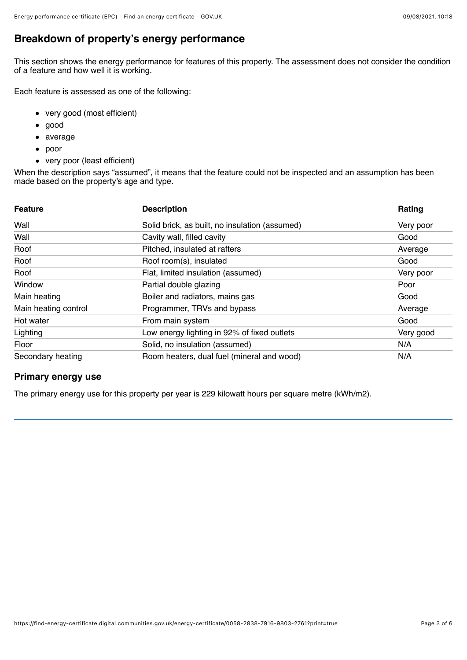# **Breakdown of property's energy performance**

This section shows the energy performance for features of this property. The assessment does not consider the condition of a feature and how well it is working.

Each feature is assessed as one of the following:

- very good (most efficient)
- good  $\bullet$
- average
- poor
- very poor (least efficient)

When the description says "assumed", it means that the feature could not be inspected and an assumption has been made based on the property's age and type.

| <b>Feature</b>       | <b>Description</b>                             | Rating    |
|----------------------|------------------------------------------------|-----------|
| Wall                 | Solid brick, as built, no insulation (assumed) | Very poor |
| Wall                 | Cavity wall, filled cavity                     | Good      |
| Roof                 | Pitched, insulated at rafters                  | Average   |
| Roof                 | Roof room(s), insulated                        | Good      |
| Roof                 | Flat, limited insulation (assumed)             | Very poor |
| Window               | Partial double glazing                         | Poor      |
| Main heating         | Boiler and radiators, mains gas                | Good      |
| Main heating control | Programmer, TRVs and bypass                    | Average   |
| Hot water            | From main system                               | Good      |
| Lighting             | Low energy lighting in 92% of fixed outlets    | Very good |
| Floor                | Solid, no insulation (assumed)                 | N/A       |
| Secondary heating    | Room heaters, dual fuel (mineral and wood)     | N/A       |

### **Primary energy use**

The primary energy use for this property per year is 229 kilowatt hours per square metre (kWh/m2).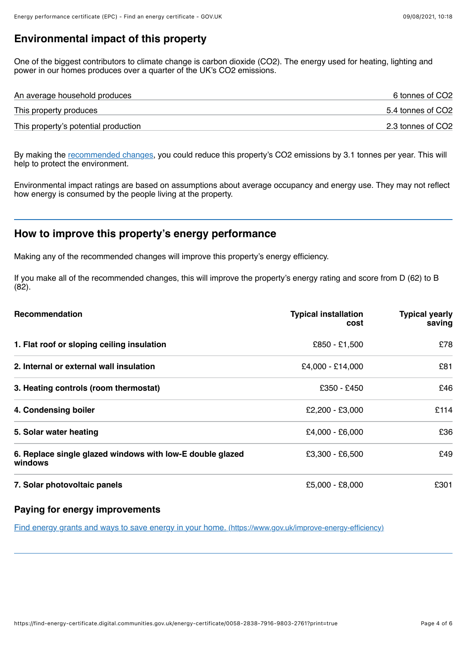## **Environmental impact of this property**

One of the biggest contributors to climate change is carbon dioxide (CO2). The energy used for heating, lighting and power in our homes produces over a quarter of the UK's CO2 emissions.

| An average household produces        | 6 tonnes of CO2   |
|--------------------------------------|-------------------|
| This property produces               | 5.4 tonnes of CO2 |
| This property's potential production | 2.3 tonnes of CO2 |

By making the [recommended changes](#page-3-0), you could reduce this property's CO2 emissions by 3.1 tonnes per year. This will help to protect the environment.

Environmental impact ratings are based on assumptions about average occupancy and energy use. They may not reflect how energy is consumed by the people living at the property.

## <span id="page-3-0"></span>**How to improve this property's energy performance**

Making any of the recommended changes will improve this property's energy efficiency.

If you make all of the recommended changes, this will improve the property's energy rating and score from D (62) to B  $(82)$ .

| Recommendation                                                       | <b>Typical installation</b><br>cost | <b>Typical yearly</b><br>saving |
|----------------------------------------------------------------------|-------------------------------------|---------------------------------|
| 1. Flat roof or sloping ceiling insulation                           | £850 - £1,500                       | £78                             |
| 2. Internal or external wall insulation                              | £4,000 - £14,000                    | £81                             |
| 3. Heating controls (room thermostat)                                | £350 - £450                         | £46                             |
| 4. Condensing boiler                                                 | £2,200 - £3,000                     | £114                            |
| 5. Solar water heating                                               | $£4,000 - £6,000$                   | £36                             |
| 6. Replace single glazed windows with low-E double glazed<br>windows | $£3,300 - £6,500$                   | £49                             |
| 7. Solar photovoltaic panels                                         | £5,000 - £8,000                     | £301                            |

### **Paying for energy improvements**

[Find energy grants and ways to save energy in your home. \(https://www.gov.uk/improve-energy-efficiency\)](https://www.gov.uk/improve-energy-efficiency)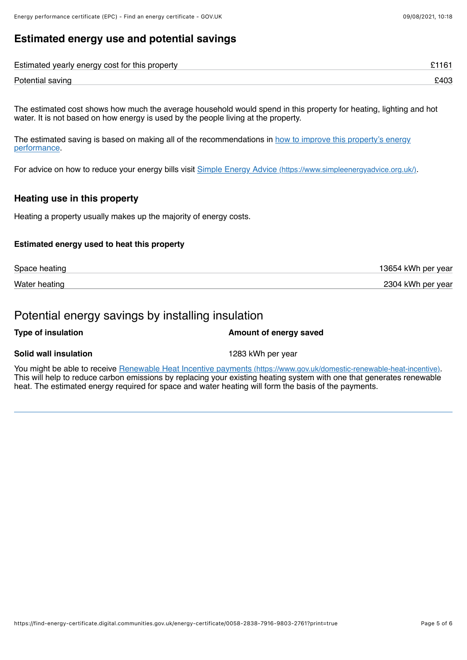# **Estimated energy use and potential savings**

| Estimated yearly energy cost for this property |      |
|------------------------------------------------|------|
| Potential saving                               | £403 |

The estimated cost shows how much the average household would spend in this property for heating, lighting and hot water. It is not based on how energy is used by the people living at the property.

[The estimated saving is based on making all of the recommendations in how to improve this property's energy](#page-3-0) performance.

For advice on how to reduce your energy bills visit [Simple Energy Advice \(https://www.simpleenergyadvice.org.uk/\)](https://www.simpleenergyadvice.org.uk/).

### **Heating use in this property**

Heating a property usually makes up the majority of energy costs.

#### **Estimated energy used to heat this property**

| Space heating | 13654 kWh per year |
|---------------|--------------------|
| Water heating | 2304 kWh per year  |

## Potential energy savings by installing insulation

#### **Type of insulation Amount of energy saved**

#### **Solid wall insulation** 1283 kWh per year

You might be able to receive [Renewable Heat Incentive payments \(https://www.gov.uk/domestic-renewable-heat-incentive\)](https://www.gov.uk/domestic-renewable-heat-incentive). This will help to reduce carbon emissions by replacing your existing heating system with one that generates renewable heat. The estimated energy required for space and water heating will form the basis of the payments.